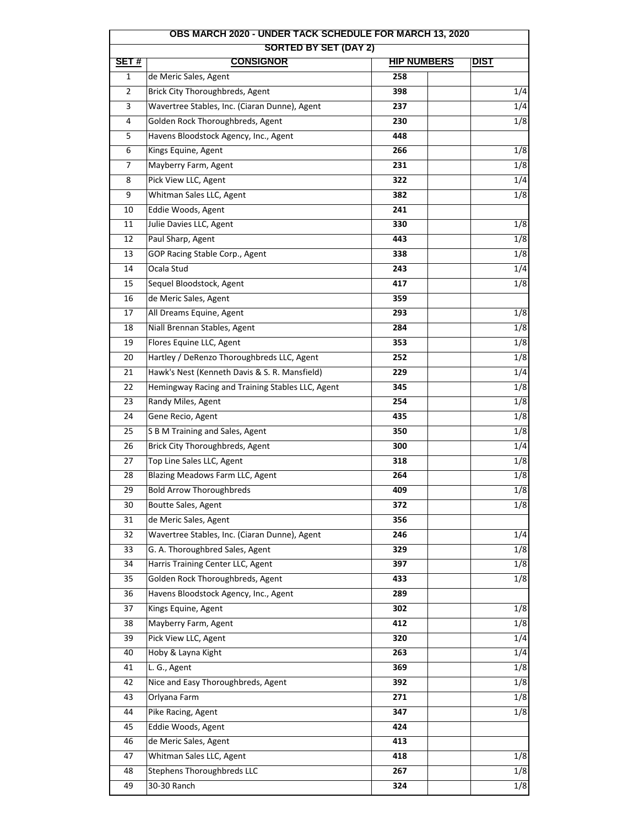| OBS MARCH 2020 - UNDER TACK SCHEDULE FOR MARCH 13, 2020<br><b>SORTED BY SET (DAY 2)</b> |                                                  |     |             |  |  |
|-----------------------------------------------------------------------------------------|--------------------------------------------------|-----|-------------|--|--|
| SET#<br><b>CONSIGNOR</b><br><b>HIP NUMBERS</b>                                          |                                                  |     |             |  |  |
| 1                                                                                       | de Meric Sales, Agent                            | 258 | <b>DIST</b> |  |  |
| 2                                                                                       | Brick City Thoroughbreds, Agent                  | 398 | 1/4         |  |  |
| 3                                                                                       | Wavertree Stables, Inc. (Ciaran Dunne), Agent    | 237 | 1/4         |  |  |
| 4                                                                                       | Golden Rock Thoroughbreds, Agent                 | 230 | 1/8         |  |  |
| 5                                                                                       | Havens Bloodstock Agency, Inc., Agent            | 448 |             |  |  |
| 6                                                                                       | Kings Equine, Agent                              | 266 | 1/8         |  |  |
| $\overline{7}$                                                                          | Mayberry Farm, Agent                             | 231 | 1/8         |  |  |
| 8                                                                                       | Pick View LLC, Agent                             | 322 | 1/4         |  |  |
| 9                                                                                       | Whitman Sales LLC, Agent                         | 382 | 1/8         |  |  |
| 10                                                                                      | Eddie Woods, Agent                               | 241 |             |  |  |
| 11                                                                                      | Julie Davies LLC, Agent                          | 330 | 1/8         |  |  |
| 12                                                                                      | Paul Sharp, Agent                                | 443 | 1/8         |  |  |
| 13                                                                                      | GOP Racing Stable Corp., Agent                   | 338 | 1/8         |  |  |
| 14                                                                                      | Ocala Stud                                       | 243 | 1/4         |  |  |
| 15                                                                                      | Sequel Bloodstock, Agent                         | 417 | 1/8         |  |  |
| 16                                                                                      | de Meric Sales, Agent                            | 359 |             |  |  |
| 17                                                                                      | All Dreams Equine, Agent                         | 293 | 1/8         |  |  |
| 18                                                                                      | Niall Brennan Stables, Agent                     | 284 | 1/8         |  |  |
| 19                                                                                      | Flores Equine LLC, Agent                         | 353 | 1/8         |  |  |
| 20                                                                                      | Hartley / DeRenzo Thoroughbreds LLC, Agent       | 252 | 1/8         |  |  |
| 21                                                                                      | Hawk's Nest (Kenneth Davis & S. R. Mansfield)    | 229 | 1/4         |  |  |
| 22                                                                                      | Hemingway Racing and Training Stables LLC, Agent | 345 | 1/8         |  |  |
| 23                                                                                      | Randy Miles, Agent                               | 254 | 1/8         |  |  |
| 24                                                                                      | Gene Recio, Agent                                | 435 | 1/8         |  |  |
| 25                                                                                      | S B M Training and Sales, Agent                  | 350 | 1/8         |  |  |
| 26                                                                                      | Brick City Thoroughbreds, Agent                  | 300 | 1/4         |  |  |
| 27                                                                                      | Top Line Sales LLC, Agent                        | 318 | 1/8         |  |  |
| 28                                                                                      | Blazing Meadows Farm LLC, Agent                  | 264 | 1/8         |  |  |
| 29                                                                                      | <b>Bold Arrow Thoroughbreds</b>                  | 409 | 1/8         |  |  |
| 30                                                                                      | Boutte Sales, Agent                              | 372 | 1/8         |  |  |
| 31                                                                                      | de Meric Sales, Agent                            | 356 |             |  |  |
| 32                                                                                      | Wavertree Stables, Inc. (Ciaran Dunne), Agent    | 246 | 1/4         |  |  |
| 33                                                                                      | G. A. Thoroughbred Sales, Agent                  | 329 | 1/8         |  |  |
| 34                                                                                      | Harris Training Center LLC, Agent                | 397 | 1/8         |  |  |
| 35                                                                                      | Golden Rock Thoroughbreds, Agent                 | 433 | 1/8         |  |  |
| 36                                                                                      | Havens Bloodstock Agency, Inc., Agent            | 289 |             |  |  |
| 37                                                                                      |                                                  | 302 |             |  |  |
| 38                                                                                      | Kings Equine, Agent<br>Mayberry Farm, Agent      | 412 | 1/8<br>1/8  |  |  |
| 39                                                                                      | Pick View LLC, Agent                             | 320 | 1/4         |  |  |
| 40                                                                                      | Hoby & Layna Kight                               | 263 | 1/4         |  |  |
| 41                                                                                      | L. G., Agent                                     | 369 | 1/8         |  |  |
| 42                                                                                      | Nice and Easy Thoroughbreds, Agent               | 392 | 1/8         |  |  |
| 43                                                                                      | Orlyana Farm                                     | 271 | 1/8         |  |  |
| 44                                                                                      | Pike Racing, Agent                               | 347 | 1/8         |  |  |
| 45                                                                                      | Eddie Woods, Agent                               | 424 |             |  |  |
| 46                                                                                      | de Meric Sales, Agent                            | 413 |             |  |  |
| 47                                                                                      | Whitman Sales LLC, Agent                         | 418 | 1/8         |  |  |
| 48                                                                                      | Stephens Thoroughbreds LLC                       | 267 | 1/8         |  |  |
|                                                                                         |                                                  |     |             |  |  |
| 49                                                                                      | 30-30 Ranch                                      | 324 | 1/8         |  |  |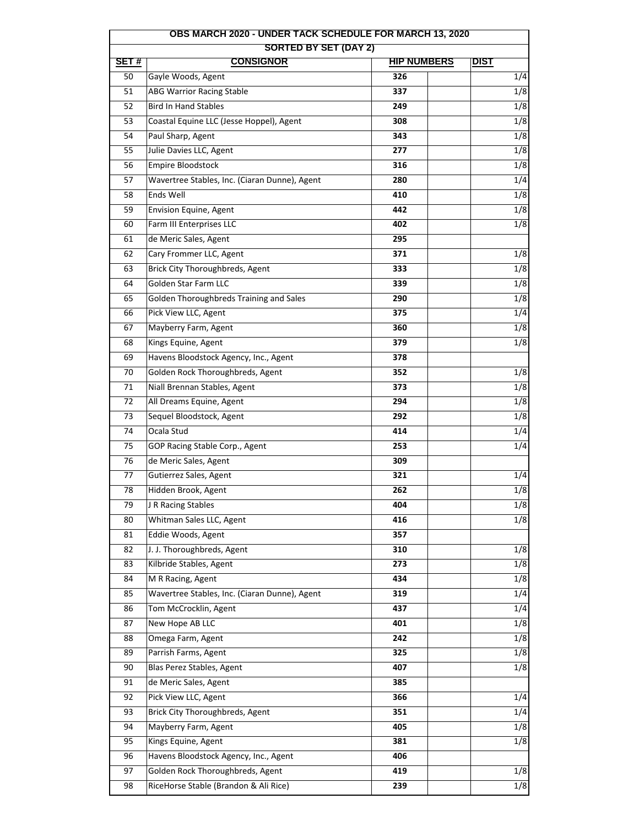| OBS MARCH 2020 - UNDER TACK SCHEDULE FOR MARCH 13, 2020                                              |                                                         |            |                         |  |  |  |
|------------------------------------------------------------------------------------------------------|---------------------------------------------------------|------------|-------------------------|--|--|--|
| <b>SORTED BY SET (DAY 2)</b><br><b>SET#</b><br><b>CONSIGNOR</b><br><b>HIP NUMBERS</b><br><b>DIST</b> |                                                         |            |                         |  |  |  |
| 50                                                                                                   | Gayle Woods, Agent                                      | 326        | 1/4                     |  |  |  |
| 51                                                                                                   | <b>ABG Warrior Racing Stable</b>                        | 337        | 1/8                     |  |  |  |
| 52                                                                                                   | <b>Bird In Hand Stables</b>                             | 249        | 1/8                     |  |  |  |
| 53                                                                                                   | Coastal Equine LLC (Jesse Hoppel), Agent                | 308        | 1/8                     |  |  |  |
| 54                                                                                                   | Paul Sharp, Agent                                       | 343        | 1/8                     |  |  |  |
| 55                                                                                                   | Julie Davies LLC, Agent                                 | 277        | 1/8                     |  |  |  |
| 56                                                                                                   | <b>Empire Bloodstock</b>                                | 316        | 1/8                     |  |  |  |
| 57                                                                                                   | Wavertree Stables, Inc. (Ciaran Dunne), Agent           | 280        | 1/4                     |  |  |  |
| 58                                                                                                   | Ends Well                                               | 410        | 1/8                     |  |  |  |
| 59                                                                                                   | Envision Equine, Agent                                  | 442        | 1/8                     |  |  |  |
| 60                                                                                                   | Farm III Enterprises LLC                                | 402        | 1/8                     |  |  |  |
| 61                                                                                                   | de Meric Sales, Agent                                   | 295        |                         |  |  |  |
| 62                                                                                                   | Cary Frommer LLC, Agent                                 | 371        | 1/8                     |  |  |  |
|                                                                                                      |                                                         |            |                         |  |  |  |
| 63                                                                                                   | Brick City Thoroughbreds, Agent<br>Golden Star Farm LLC | 333        | 1/8                     |  |  |  |
| 64<br>65                                                                                             | Golden Thoroughbreds Training and Sales                 | 339<br>290 | 1/8<br>1/8              |  |  |  |
|                                                                                                      |                                                         |            | 1/4                     |  |  |  |
| 66                                                                                                   | Pick View LLC, Agent<br>Mayberry Farm, Agent            | 375        |                         |  |  |  |
| 67                                                                                                   |                                                         | 360        | 1/8                     |  |  |  |
| 68                                                                                                   | Kings Equine, Agent                                     | 379        | 1/8                     |  |  |  |
| 69                                                                                                   | Havens Bloodstock Agency, Inc., Agent                   | 378        |                         |  |  |  |
| 70                                                                                                   | Golden Rock Thoroughbreds, Agent                        | 352        | 1/8                     |  |  |  |
| 71                                                                                                   | Niall Brennan Stables, Agent                            | 373        | 1/8                     |  |  |  |
| 72                                                                                                   | All Dreams Equine, Agent                                | 294        | 1/8                     |  |  |  |
| 73                                                                                                   | Sequel Bloodstock, Agent                                | 292        | 1/8                     |  |  |  |
| 74                                                                                                   | Ocala Stud                                              | 414        | 1/4                     |  |  |  |
| 75                                                                                                   | GOP Racing Stable Corp., Agent                          | 253        | 1/4                     |  |  |  |
| 76                                                                                                   | de Meric Sales, Agent                                   | 309        |                         |  |  |  |
| 77                                                                                                   | Gutierrez Sales, Agent                                  | 321        | 1/4<br>$\overline{1/8}$ |  |  |  |
| 78                                                                                                   | Hidden Brook, Agent<br>J R Racing Stables               | 262        |                         |  |  |  |
| 79                                                                                                   |                                                         | 404        | 1/8                     |  |  |  |
| 80                                                                                                   | Whitman Sales LLC, Agent                                | 416        | 1/8                     |  |  |  |
| 81                                                                                                   | Eddie Woods, Agent                                      | 357        |                         |  |  |  |
| 82                                                                                                   | J. J. Thoroughbreds, Agent                              | 310        | 1/8<br>1/8              |  |  |  |
| 83                                                                                                   | Kilbride Stables, Agent<br>M R Racing, Agent            | 273        | 1/8                     |  |  |  |
| 84<br>85                                                                                             | Wavertree Stables, Inc. (Ciaran Dunne), Agent           | 434<br>319 | 1/4                     |  |  |  |
|                                                                                                      |                                                         | 437        |                         |  |  |  |
| 86<br>87                                                                                             | Tom McCrocklin, Agent<br>New Hope AB LLC                | 401        | 1/4<br>$\overline{1/8}$ |  |  |  |
| 88                                                                                                   | Omega Farm, Agent                                       | 242        | 1/8                     |  |  |  |
| 89                                                                                                   | Parrish Farms, Agent                                    | 325        | 1/8                     |  |  |  |
|                                                                                                      | Blas Perez Stables, Agent                               |            | 1/8                     |  |  |  |
| 90<br>91                                                                                             | de Meric Sales, Agent                                   | 407<br>385 |                         |  |  |  |
|                                                                                                      |                                                         |            |                         |  |  |  |
| 92                                                                                                   | Pick View LLC, Agent                                    | 366        | 1/4                     |  |  |  |
| 93                                                                                                   | Brick City Thoroughbreds, Agent                         | 351        | 1/4                     |  |  |  |
| 94                                                                                                   | Mayberry Farm, Agent                                    | 405        | 1/8<br>$\overline{1/8}$ |  |  |  |
| 95                                                                                                   | Kings Equine, Agent                                     | 381        |                         |  |  |  |
| 96                                                                                                   | Havens Bloodstock Agency, Inc., Agent                   | 406        |                         |  |  |  |
| 97                                                                                                   | Golden Rock Thoroughbreds, Agent                        | 419        | 1/8                     |  |  |  |
| 98                                                                                                   | RiceHorse Stable (Brandon & Ali Rice)                   | 239        | 1/8                     |  |  |  |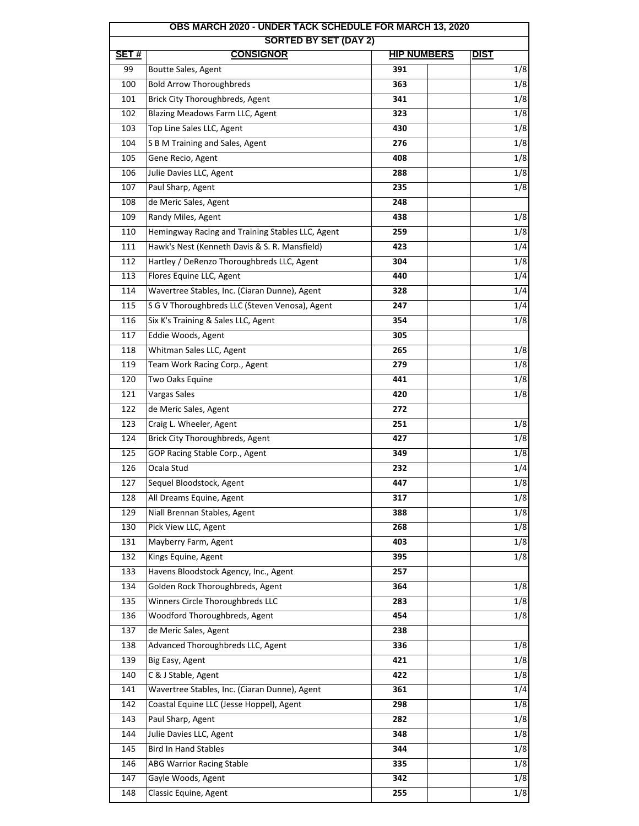| OBS MARCH 2020 - UNDER TACK SCHEDULE FOR MARCH 13, 2020 |                                                              |                           |                  |  |  |
|---------------------------------------------------------|--------------------------------------------------------------|---------------------------|------------------|--|--|
| SET#                                                    | <b>SORTED BY SET (DAY 2)</b><br><b>CONSIGNOR</b>             | <b>DIST</b>               |                  |  |  |
| 99                                                      | Boutte Sales, Agent                                          | <b>HIP NUMBERS</b><br>391 | 1/8              |  |  |
| 100                                                     | <b>Bold Arrow Thoroughbreds</b>                              | 363                       | 1/8              |  |  |
| 101                                                     | Brick City Thoroughbreds, Agent                              | 341                       | 1/8              |  |  |
| 102                                                     | Blazing Meadows Farm LLC, Agent                              | 323                       | $\overline{1/8}$ |  |  |
| 103                                                     | Top Line Sales LLC, Agent                                    | 430                       | 1/8              |  |  |
| 104                                                     | S B M Training and Sales, Agent                              | 276                       | 1/8              |  |  |
| 105                                                     | Gene Recio, Agent                                            | 408                       | 1/8              |  |  |
| 106                                                     | Julie Davies LLC, Agent                                      | 288                       | 1/8              |  |  |
| 107                                                     | Paul Sharp, Agent                                            | 235                       | 1/8              |  |  |
| 108                                                     | de Meric Sales, Agent                                        | 248                       |                  |  |  |
| 109                                                     | Randy Miles, Agent                                           | 438                       | 1/8              |  |  |
| 110                                                     | Hemingway Racing and Training Stables LLC, Agent             | 259                       | 1/8              |  |  |
| 111                                                     | Hawk's Nest (Kenneth Davis & S. R. Mansfield)                | 423                       | 1/4              |  |  |
| 112                                                     | Hartley / DeRenzo Thoroughbreds LLC, Agent                   | 304                       | 1/8              |  |  |
| 113                                                     | Flores Equine LLC, Agent                                     | 440                       | 1/4              |  |  |
| 114                                                     | Wavertree Stables, Inc. (Ciaran Dunne), Agent                | 328                       | 1/4              |  |  |
| 115                                                     | S G V Thoroughbreds LLC (Steven Venosa), Agent               | 247                       | 1/4              |  |  |
| 116                                                     | Six K's Training & Sales LLC, Agent                          | 354                       | 1/8              |  |  |
| 117                                                     | Eddie Woods, Agent                                           | 305                       |                  |  |  |
| 118                                                     | Whitman Sales LLC, Agent                                     | 265                       |                  |  |  |
| 119                                                     |                                                              | 279                       | 1/8<br>1/8       |  |  |
| 120                                                     | Team Work Racing Corp., Agent<br>Two Oaks Equine             | 441                       | 1/8              |  |  |
|                                                         | Vargas Sales                                                 | 420                       |                  |  |  |
| 121                                                     |                                                              | 272                       | 1/8              |  |  |
| 122<br>123                                              | de Meric Sales, Agent                                        | 251                       |                  |  |  |
| 124                                                     | Craig L. Wheeler, Agent<br>Brick City Thoroughbreds, Agent   | 427                       | 1/8<br>1/8       |  |  |
|                                                         |                                                              |                           |                  |  |  |
| 125                                                     | GOP Racing Stable Corp., Agent<br>Ocala Stud                 | 349                       | 1/8              |  |  |
| 126<br>127                                              |                                                              | 232                       | 1/4              |  |  |
|                                                         | Sequel Bloodstock, Agent<br>All Dreams Equine, Agent         | 447                       | 1/8              |  |  |
| 128                                                     |                                                              | 317                       | 1/8              |  |  |
| 129                                                     | Niall Brennan Stables, Agent                                 | 388                       | 1/8              |  |  |
| 130                                                     | Pick View LLC, Agent                                         | 268                       | 1/8              |  |  |
| 131                                                     | Mayberry Farm, Agent                                         | 403                       | 1/8              |  |  |
| 132                                                     | Kings Equine, Agent<br>Havens Bloodstock Agency, Inc., Agent | 395                       | 1/8              |  |  |
| 133                                                     |                                                              | 257                       |                  |  |  |
| 134                                                     | Golden Rock Thoroughbreds, Agent                             | 364                       | 1/8              |  |  |
| 135                                                     | Winners Circle Thoroughbreds LLC                             | 283                       | 1/8              |  |  |
| 136                                                     | Woodford Thoroughbreds, Agent                                | 454                       | 1/8              |  |  |
| 137                                                     | de Meric Sales, Agent                                        | 238                       |                  |  |  |
| 138                                                     | Advanced Thoroughbreds LLC, Agent                            | 336                       | 1/8              |  |  |
| 139                                                     | Big Easy, Agent                                              | 421                       | 1/8              |  |  |
| 140                                                     | C & J Stable, Agent                                          | 422                       | 1/8              |  |  |
| 141                                                     | Wavertree Stables, Inc. (Ciaran Dunne), Agent                | 361                       | 1/4              |  |  |
| 142                                                     | Coastal Equine LLC (Jesse Hoppel), Agent                     | 298                       | 1/8              |  |  |
| 143                                                     | Paul Sharp, Agent                                            | 282                       | 1/8              |  |  |
| 144                                                     | Julie Davies LLC, Agent                                      | 348                       | 1/8              |  |  |
| 145                                                     | <b>Bird In Hand Stables</b>                                  | 344                       | $\overline{1/8}$ |  |  |
| 146                                                     | <b>ABG Warrior Racing Stable</b>                             | 335                       | 1/8              |  |  |
| 147                                                     | Gayle Woods, Agent                                           | 342                       | 1/8              |  |  |
| 148                                                     | Classic Equine, Agent                                        | 255                       | 1/8              |  |  |